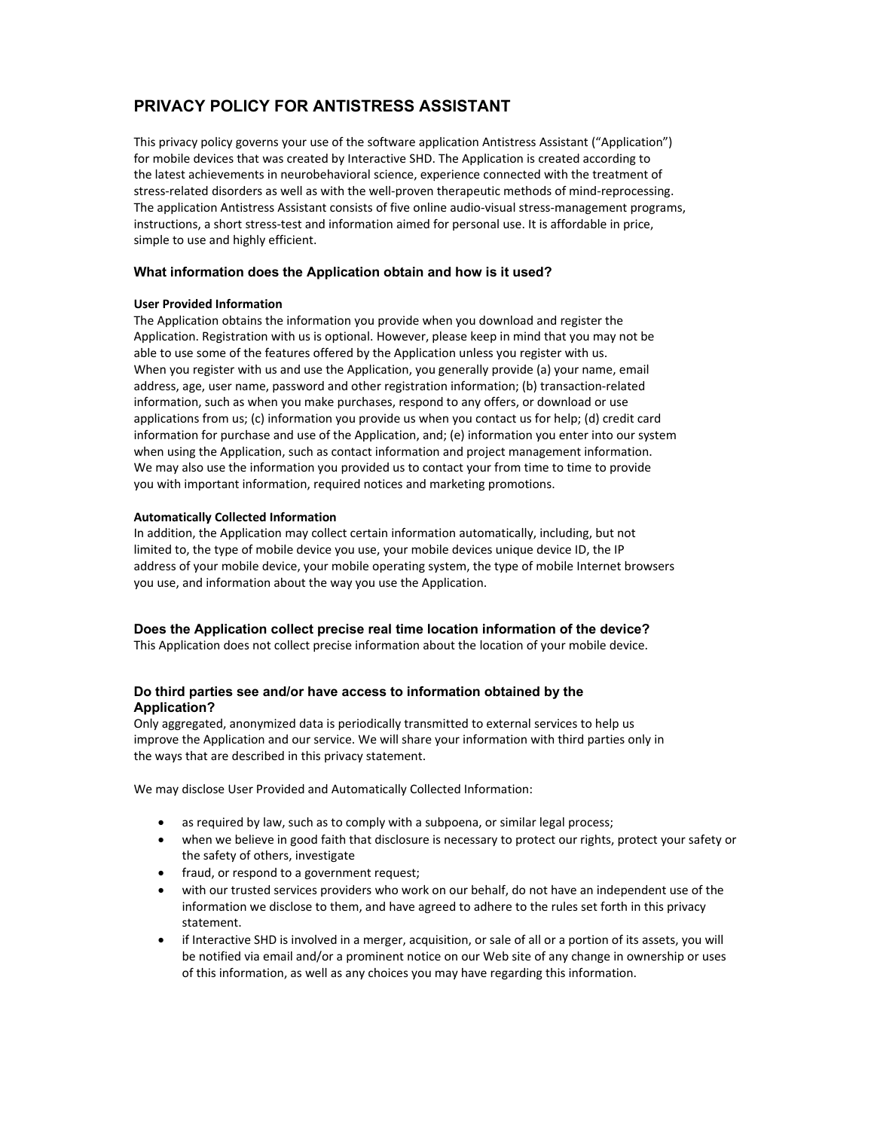# **PRIVACY POLICY FOR ANTISTRESS ASSISTANT**

This privacy policy governs your use of the software application Antistress Assistant ("Application") for mobile devices that was created by Interactive SHD. The Application is created according to the latest achievements in neurobehavioral science, experience connected with the treatment of stress‐related disorders as well as with the well‐proven therapeutic methods of mind‐reprocessing. The application Antistress Assistant consists of five online audio‐visual stress‐management programs, instructions, a short stress‐test and information aimed for personal use. It is affordable in price, simple to use and highly efficient.

## **What information does the Application obtain and how is it used?**

## **User Provided Information**

The Application obtains the information you provide when you download and register the Application. Registration with us is optional. However, please keep in mind that you may not be able to use some of the features offered by the Application unless you register with us. When you register with us and use the Application, you generally provide (a) your name, email address, age, user name, password and other registration information; (b) transaction‐related information, such as when you make purchases, respond to any offers, or download or use applications from us; (c) information you provide us when you contact us for help; (d) credit card information for purchase and use of the Application, and; (e) information you enter into our system when using the Application, such as contact information and project management information. We may also use the information you provided us to contact your from time to time to provide you with important information, required notices and marketing promotions.

## **Automatically Collected Information**

In addition, the Application may collect certain information automatically, including, but not limited to, the type of mobile device you use, your mobile devices unique device ID, the IP address of your mobile device, your mobile operating system, the type of mobile Internet browsers you use, and information about the way you use the Application.

# **Does the Application collect precise real time location information of the device?**

This Application does not collect precise information about the location of your mobile device.

# **Do third parties see and/or have access to information obtained by the Application?**

Only aggregated, anonymized data is periodically transmitted to external services to help us improve the Application and our service. We will share your information with third parties only in the ways that are described in this privacy statement.

We may disclose User Provided and Automatically Collected Information:

- as required by law, such as to comply with a subpoena, or similar legal process;
- when we believe in good faith that disclosure is necessary to protect our rights, protect your safety or the safety of others, investigate
- fraud, or respond to a government request;
- with our trusted services providers who work on our behalf, do not have an independent use of the information we disclose to them, and have agreed to adhere to the rules set forth in this privacy statement.
- if Interactive SHD is involved in a merger, acquisition, or sale of all or a portion of its assets, you will be notified via email and/or a prominent notice on our Web site of any change in ownership or uses of this information, as well as any choices you may have regarding this information.